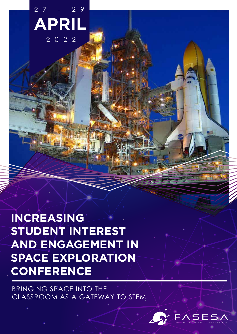**APRIL** 2 7 - 2 9  $2022$ 

**INCREASING STUDENT INTEREST AND ENGAGEMENT IN SPACE EXPLORATION CONFERENCE**

BRINGING SPACE INTO THE CLASSROOM AS A GATEWAY TO STEM

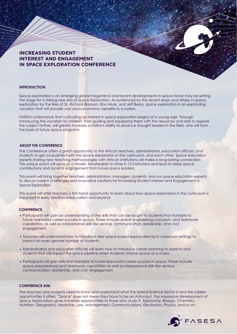# **INCREASING STUDENT INTEREST AND ENGAGEMENT IN SPACE EXPLORATION CONFERENCE**

#### **INTRODUCTION**

Space exploration is an emerging global megatrend and recent developments in space travel may be setting the stage for a striking new era of Space Exploration. As evidenced by the recent leaps and strides in space exploration by the likes of Sir. Richard Branson, Elon Musk, and Jeff Bezos, space exploration is an expanding vocation that will provide vast socio-economic benefits to a nation.

FASESA understands that cultivating an interest in space exploration begins at a young age. Through introducing the vocation to children, then guiding and equipping them with the resources and skills to explore the subject further, will greatly increase a nation's ability to produce thought leaders in the field, who will form the basis of future space programs

#### **ABOUT THE CONFERENCE**

The Conference offers a great opportunity to the African teachers, administrators, education officials, and students to get acquainted with the Space exploration in the curriculum, and each other. Space education experts sharing new teaching methodologies with African institutions will make a long-lasting connection This unique event will serve as a model, transferable to other K-12 institutions and lead to deep space contributions and societal engagement from future space leaders.

This event will bring together teachers, administrators, managers, students, and our space education experts to discuss current challenges and innovative solutions for Increasing Student Interest and Engagement in Space Exploration.

This event will offer teachers a first-hand opportunity to learn about how space exploration in the curriculum is important in early childhood education and beyond

#### **CONFERENCE**

- Participants will gain an understanding of the skills that can be taught to students that translate to future real-world career success in space. These include space engineering concepts, and teamwork capabilities, as well as interpersonal skills like service, communication, leadership, and civic engagement.
- Teachers will understand how to introduce new space-based lessons directly in classroom settings to impact an even greater number of students.
- Administrators and education officials will learn how to introduce career planning to parents and students that will impact the space pipeline when students choose space as a major.
- Participants will gain skills that translate to future real-world career success in space. These include space preparedness and teamwork capabilities as well as interpersonal skills like service, communication, leadership, and civic engagement.

#### **CONFERENCE AIM**

The teachers and students need to know and understand what the Space Science Sector is and the career opportunities it offers. '"Space'' does not mean they have to be an Astronaut. The impressive development of Space Applications gives immense opportunities to those who study IT, Agronomy, Biology, Chemistry, Nutrition, Geography, Medicine, Law, Management, Communications, Electronics, Physics, and so on

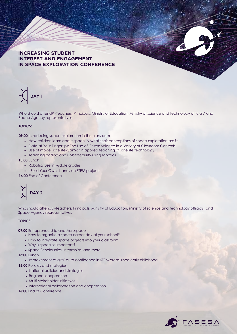# **INCREASING STUDENT INTEREST AND ENGAGEMENT IN SPACE EXPLORATION CONFERENCE**

**DAY 1**

Who should attend? -Teachers, Principals, Ministry of Education, Ministry of science and technology officials' and Space Agency representatives

#### **TOPICS:**

**09:00** introducing space exploration in the classroom

- How children learn about space, & what their conceptions of space exploration are?t
- Data at Your Fingertips: The Use of Citizen Science in a Variety of Classroom Contexts
- Use of model satellite-CanSat in applied teaching of satellite technology.
- Teaching coding and Cybersecurity using robotics

**13:00** Lunch

- Robotics use in Middle grades
- "Build Your Own" hands-on STEM projects

**16:00** End of Conference



Who should attend? -Teachers, Principals, Ministry of Education, Ministry of science and technology officials' and Space Agency representatives

#### **TOPICS:**

**09:00** Entrepreneurship and Aerospace

- How to organize a space career day at your school?
- How to integrate space projects into your classroom
- Why is space so important?
- Space Scholarships, internships, and more

**13:00** Lunch

• Improvement of girls' auto confidence in STEM areas since early childhood

**15:00** Policies and strategies

- National policies and strategies
- Regional cooperation
- Multi-stakeholder initiatives
- International collaboration and cooperation

**16:00** End of Conference

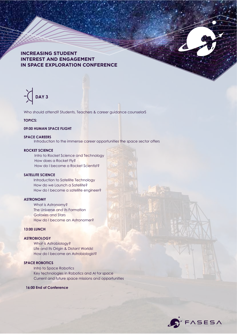## **INCREASING STUDENT INTEREST AND ENGAGEMENT IN SPACE EXPLORATION CONFERENCE**

# **DAY 3**

Who should attend? Students, Teachers & career guidance counselorS

#### **TOPICS:**

#### **09:00 HUMAN SPACE FLIGHT**

#### **SPACE CAREERS**

Introduction to the immense career opportunities the space sector offers

# **ROCKET SCIENCE**

Intro to Rocket Science and Technology How does a Rocket Fly? How do I become a Rocket Scientist?

### **SATELLITE SCIENCE**

Introduction to Satellite Technology How do we Launch a Satellite? How do I become a satellite engineer?

#### **ASTRONOMY**

What is Astronomy? The Universe and its Formation Galaxies and Stars How do I become an Astronomer?

#### **13:00 LUNCH**

# **ASTROBIOLOGY**

What is Astrobiology? Life and Its Origin & Distant Worlds! How do I become an Astrobiologist?

#### **SPACE ROBOTICS**

Intro to Space Robotics Key technologies in Robotics and AI for space Current and future space missions and opportunities

#### **16:00 End of Conference**

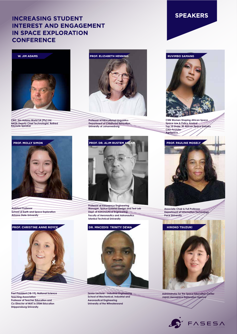# **INCREASING STUDENT INTEREST AND ENGAGEMENT IN SPACE EXPLORATION CONFERENCE**



**CEO, Jim Adams World SA (Pty) Ltd. NASA Deputy Chief Technologist, Retired Keynote Speaker**

**PROF. ELIZABETH HENNING** 

**Professor of Educational Linguistics Department of Childhood Education University of Johannesburg**





**CNN Women Shaping African Space Space Law & Policy Analyst Top 10 Under 30 African Space Industry CEO-Founder AgriSpace**



**Assistant Professor School of Earth and Space Exploration Arizona State University**

#### **PROF. CHRISTINE ANNE ROYCE**



**Professor of Aerospace Engineering Manager, Space Systems Design and Test Lab Dept. of Astronautical Engineering Faculty of Aeronautics and Astronautics Istanbul Technical University**



**Past President (18-19), National Science Teaching Association Professor of Teacher Education and Co-Director of MAT in STEM Education Shippensburg University**



**Senior Lecturer - Industrial Engineering School of Mechanical, Industrial and Aeronautical Engineering University of the Witwatersrand**



**Associate Chair & Full Professor Department of Information Technology Pace University**



**Administrator for the Space Education Center Japan Aerospace Exploration Agency**

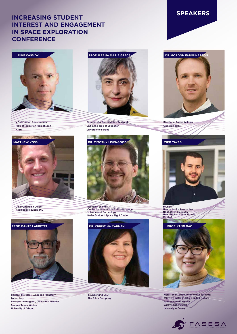# **INCREASING STUDENT INTEREST AND ENGAGEMENT IN SPACE EXPLORATION CONFERENCE**



**VP of Product Development Project Leader on Project Loon Astra**



**Chief Operation Officer NearSpace Launch, INC**



**Director of a Consolidated Research Unit in the area of Education University of Burgos**

**Research Scientist Center for Research in Earth and Space Science and Technology NASA Goddard Space Flight Center**



**Regents Professor, Lunar and Planetary Laboratory Principal Investigator, OSIRIS-REx Asteroid Sample Return Mission University of Arizona**



**Founder and CEO The Talon Company**





**Director of Radar Systems Capella Space**



**Founder Neurorobotics Researcher NASA iTech Innovator NeuroTech & Space Robotics MyelinS**



**Professor of Space Autonomous Systems; Wiley JFR Editor-in-Chief; United Nations Space4Women Mentor** Surrey Space Centre, **University of Surrey**